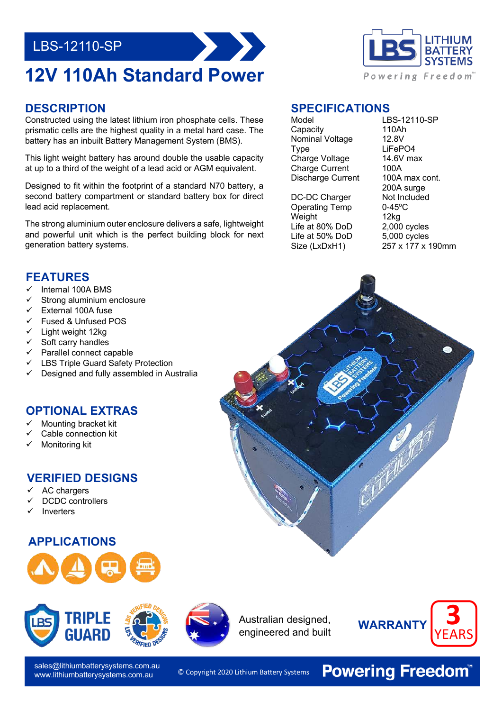## LBS-12110-SP

# **12V 110Ah Standard Power**



Constructed using the latest lithium iron phosphate cells. These prismatic cells are the highest quality in a metal hard case. The battery has an inbuilt Battery Management System (BMS).

This light weight battery has around double the usable capacity at up to a third of the weight of a lead acid or AGM equivalent.

Designed to fit within the footprint of a standard N70 battery, a second battery compartment or standard battery box for direct lead acid replacement.

 and powerful unit which is the perfect building block for next The strong aluminium outer enclosure delivers a safe, lightweight generation battery systems.

### **FEATURES**

- Internal 100A BMS
- Strong aluminium enclosure
- External 100A fuse
- ü Fused & Unfused POS
- $\checkmark$  Light weight 12kg
- Soft carry handles
- Parallel connect capable
- LBS Triple Guard Safety Protection
- Designed and fully assembled in Australia

#### **OPTIONAL EXTRAS**

- Mounting bracket kit
- Cable connection kit
- Monitoring kit

#### **VERIFIED DESIGNS**

- AC chargers
- DCDC controllers
- **Inverters**

#### **APPLICATIONS**





sales@lithiumbatterysystems.com.au www.lithiumbatterysystems.com.au

**SPECIFICATIONS**

Capacity 110Ah<br>Nominal Voltage 12.8V Nominal Voltage Type LiFePO4 Charge Voltage 14.6V max Charge Current 100A Discharge Current 100A max cont.

DC-DC Charger Not Included<br>Operating Temp 0-45°C Operating Temp Weight 12kg<br>
Life at 80% DoD 2,000 cycles Life at 80% DoD Life at 50% DoD 5,000 cycles<br>Size (LxDxH1) 257 x 177 x 1

Model LBS-12110-SP 200A surge  $257 \times 177 \times 190$ mm









© Copyright 2020 Lithium Battery Systems

**Powering Freedom®**